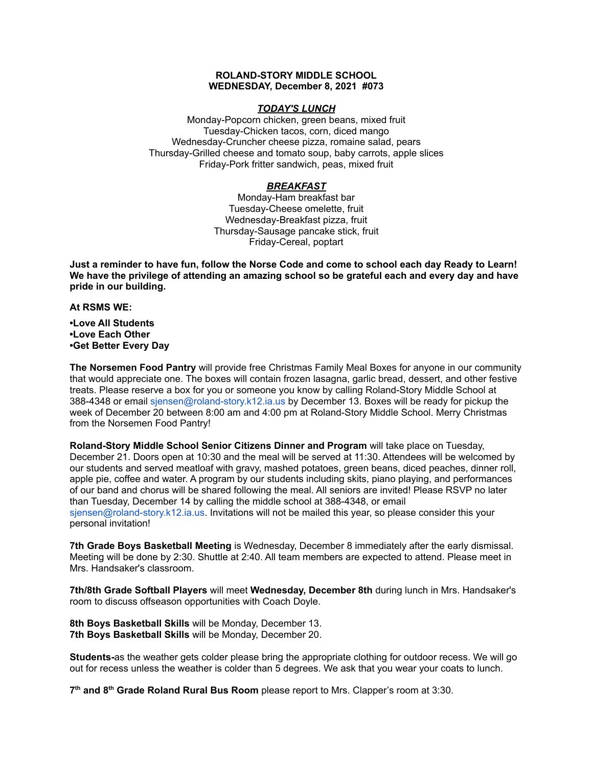### **ROLAND-STORY MIDDLE SCHOOL WEDNESDAY, December 8, 2021 #073**

### *TODAY'S LUNCH*

Monday-Popcorn chicken, green beans, mixed fruit Tuesday-Chicken tacos, corn, diced mango Wednesday-Cruncher cheese pizza, romaine salad, pears Thursday-Grilled cheese and tomato soup, baby carrots, apple slices Friday-Pork fritter sandwich, peas, mixed fruit

## *BREAKFAST*

Monday-Ham breakfast bar Tuesday-Cheese omelette, fruit Wednesday-Breakfast pizza, fruit Thursday-Sausage pancake stick, fruit Friday-Cereal, poptart

Just a reminder to have fun, follow the Norse Code and come to school each day Ready to Learn! **We have the privilege of attending an amazing school so be grateful each and every day and have pride in our building.**

**At RSMS WE:**

**•Love All Students •Love Each Other •Get Better Every Day**

**The Norsemen Food Pantry** will provide free Christmas Family Meal Boxes for anyone in our community that would appreciate one. The boxes will contain frozen lasagna, garlic bread, dessert, and other festive treats. Please reserve a box for you or someone you know by calling Roland-Story Middle School at 388-4348 or email sjensen@roland-story.k12.ia.us by December 13. Boxes will be ready for pickup the week of December 20 between 8:00 am and 4:00 pm at Roland-Story Middle School. Merry Christmas from the Norsemen Food Pantry!

**Roland-Story Middle School Senior Citizens Dinner and Program** will take place on Tuesday, December 21. Doors open at 10:30 and the meal will be served at 11:30. Attendees will be welcomed by our students and served meatloaf with gravy, mashed potatoes, green beans, diced peaches, dinner roll, apple pie, coffee and water. A program by our students including skits, piano playing, and performances of our band and chorus will be shared following the meal. All seniors are invited! Please RSVP no later than Tuesday, December 14 by calling the middle school at 388-4348, or email sjensen@roland-story.k12.ia.us. Invitations will not be mailed this year, so please consider this your personal invitation!

**7th Grade Boys Basketball Meeting** is Wednesday, December 8 immediately after the early dismissal. Meeting will be done by 2:30. Shuttle at 2:40. All team members are expected to attend. Please meet in Mrs. Handsaker's classroom.

**7th/8th Grade Softball Players** will meet **Wednesday, December 8th** during lunch in Mrs. Handsaker's room to discuss offseason opportunities with Coach Doyle.

**8th Boys Basketball Skills** will be Monday, December 13. **7th Boys Basketball Skills** will be Monday, December 20.

**Students-**as the weather gets colder please bring the appropriate clothing for outdoor recess. We will go out for recess unless the weather is colder than 5 degrees. We ask that you wear your coats to lunch.

**7 th and 8 th Grade Roland Rural Bus Room** please report to Mrs. Clapper's room at 3:30.